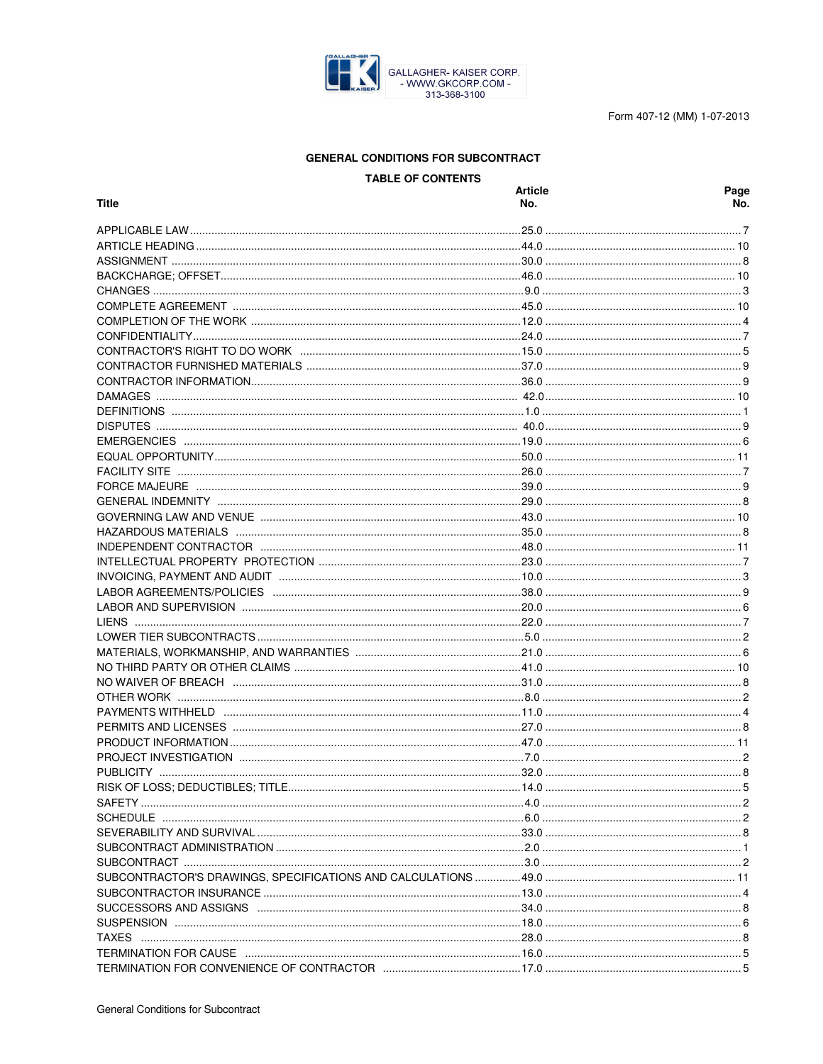

Form 407-12 (MM) 1-07-2013

# **GENERAL CONDITIONS FOR SUBCONTRACT**

**TABLE OF CONTENTS** 

| Title                                                                               | <b>Article</b><br>No. | Page<br>No. |
|-------------------------------------------------------------------------------------|-----------------------|-------------|
|                                                                                     |                       |             |
|                                                                                     |                       |             |
|                                                                                     |                       |             |
|                                                                                     |                       |             |
|                                                                                     |                       |             |
|                                                                                     |                       |             |
|                                                                                     |                       |             |
|                                                                                     |                       |             |
|                                                                                     |                       |             |
|                                                                                     |                       |             |
|                                                                                     |                       |             |
|                                                                                     |                       |             |
|                                                                                     |                       |             |
|                                                                                     |                       |             |
|                                                                                     |                       |             |
|                                                                                     |                       |             |
|                                                                                     |                       |             |
|                                                                                     |                       |             |
|                                                                                     |                       |             |
|                                                                                     |                       |             |
|                                                                                     |                       |             |
|                                                                                     |                       |             |
|                                                                                     |                       |             |
|                                                                                     |                       |             |
|                                                                                     |                       |             |
|                                                                                     |                       |             |
|                                                                                     |                       |             |
|                                                                                     |                       |             |
|                                                                                     |                       |             |
|                                                                                     |                       |             |
|                                                                                     |                       |             |
|                                                                                     |                       |             |
|                                                                                     |                       |             |
|                                                                                     |                       |             |
|                                                                                     |                       |             |
|                                                                                     |                       |             |
|                                                                                     |                       |             |
|                                                                                     |                       |             |
|                                                                                     |                       |             |
|                                                                                     |                       |             |
|                                                                                     |                       |             |
|                                                                                     |                       |             |
|                                                                                     |                       |             |
|                                                                                     |                       |             |
|                                                                                     |                       |             |
|                                                                                     |                       |             |
|                                                                                     |                       |             |
|                                                                                     |                       |             |
|                                                                                     |                       |             |
|                                                                                     |                       |             |
|                                                                                     |                       |             |
| TERMINATION FOR CAUSE …………………………………………………………………………………16.0 ………………………………………………………………5 |                       |             |
|                                                                                     |                       |             |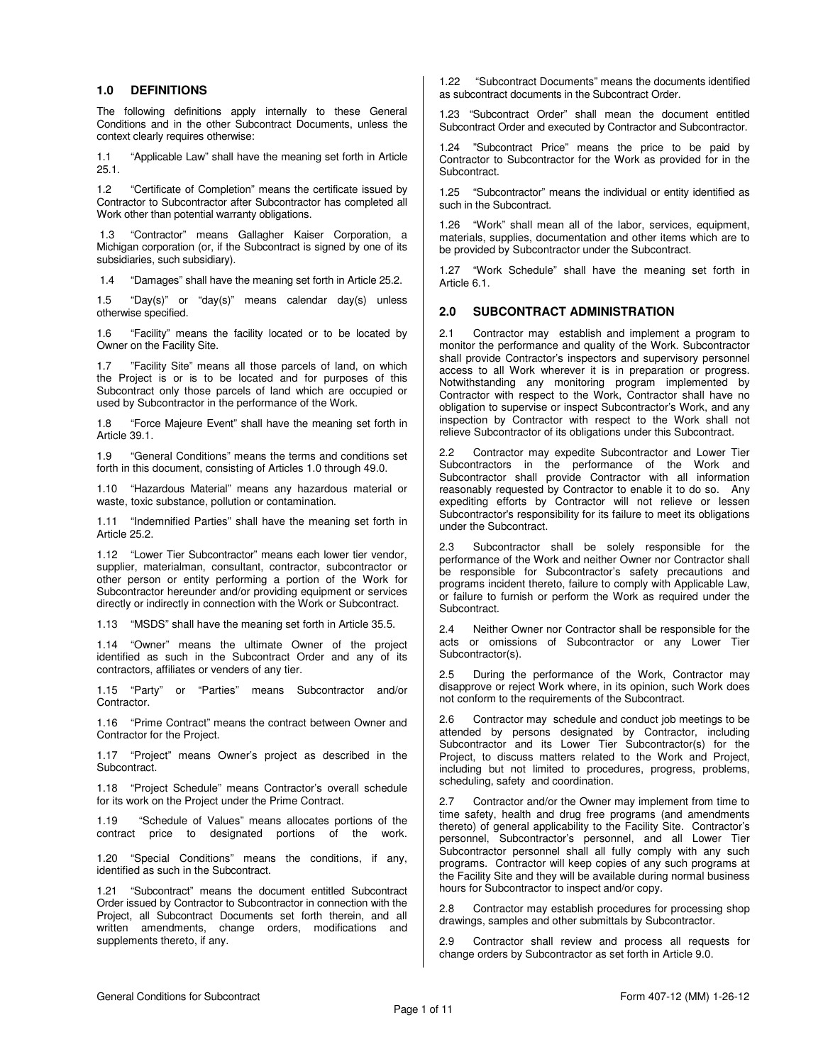#### **1.0 DEFINITIONS**

The following definitions apply internally to these General Conditions and in the other Subcontract Documents, unless the context clearly requires otherwise:

1.1 "Applicable Law" shall have the meaning set forth in Article 25.1.

1.2 "Certificate of Completion" means the certificate issued by Contractor to Subcontractor after Subcontractor has completed all Work other than potential warranty obligations.

 1.3 "Contractor" means Gallagher Kaiser Corporation, a Michigan corporation (or, if the Subcontract is signed by one of its subsidiaries, such subsidiary).

1.4 "Damages" shall have the meaning set forth in Article 25.2.

1.5 "Day(s)" or "day(s)" means calendar day(s) unless otherwise specified.

1.6 "Facility" means the facility located or to be located by Owner on the Facility Site.

1.7 "Facility Site" means all those parcels of land, on which the Project is or is to be located and for purposes of this Subcontract only those parcels of land which are occupied or used by Subcontractor in the performance of the Work.

1.8 "Force Majeure Event" shall have the meaning set forth in Article 39.1.

1.9 "General Conditions" means the terms and conditions set forth in this document, consisting of Articles 1.0 through 49.0.

1.10 "Hazardous Material" means any hazardous material or waste, toxic substance, pollution or contamination.

1.11 "Indemnified Parties" shall have the meaning set forth in Article 25.2.

1.12 "Lower Tier Subcontractor" means each lower tier vendor, supplier, materialman, consultant, contractor, subcontractor or other person or entity performing a portion of the Work for Subcontractor hereunder and/or providing equipment or services directly or indirectly in connection with the Work or Subcontract.

1.13 "MSDS" shall have the meaning set forth in Article 35.5.

1.14 "Owner" means the ultimate Owner of the project identified as such in the Subcontract Order and any of its contractors, affiliates or venders of any tier.

1.15 "Party" or "Parties" means Subcontractor and/or Contractor.

1.16 "Prime Contract" means the contract between Owner and Contractor for the Project.

1.17 "Project" means Owner's project as described in the Subcontract.

1.18 "Project Schedule" means Contractor's overall schedule for its work on the Project under the Prime Contract.

1.19 "Schedule of Values" means allocates portions of the contract price to designated portions of the work.

1.20 "Special Conditions" means the conditions, if any, identified as such in the Subcontract.

1.21 "Subcontract" means the document entitled Subcontract Order issued by Contractor to Subcontractor in connection with the Project, all Subcontract Documents set forth therein, and all written amendments, change orders, modifications and supplements thereto, if any.

1.22 "Subcontract Documents" means the documents identified as subcontract documents in the Subcontract Order.

1.23 "Subcontract Order" shall mean the document entitled Subcontract Order and executed by Contractor and Subcontractor.

1.24 "Subcontract Price" means the price to be paid by Contractor to Subcontractor for the Work as provided for in the Subcontract.

1.25 "Subcontractor" means the individual or entity identified as such in the Subcontract.

1.26 "Work" shall mean all of the labor, services, equipment, materials, supplies, documentation and other items which are to be provided by Subcontractor under the Subcontract.

1.27 "Work Schedule" shall have the meaning set forth in Article 6.1.

#### **2.0 SUBCONTRACT ADMINISTRATION**

2.1 Contractor may establish and implement a program to monitor the performance and quality of the Work. Subcontractor shall provide Contractor's inspectors and supervisory personnel access to all Work wherever it is in preparation or progress. Notwithstanding any monitoring program implemented by Contractor with respect to the Work, Contractor shall have no obligation to supervise or inspect Subcontractor's Work, and any inspection by Contractor with respect to the Work shall not relieve Subcontractor of its obligations under this Subcontract.

2.2 Contractor may expedite Subcontractor and Lower Tier Subcontractors in the performance of the Work and Subcontractor shall provide Contractor with all information reasonably requested by Contractor to enable it to do so. Any expediting efforts by Contractor will not relieve or lessen Subcontractor's responsibility for its failure to meet its obligations under the Subcontract.

2.3 Subcontractor shall be solely responsible for the performance of the Work and neither Owner nor Contractor shall be responsible for Subcontractor's safety precautions and programs incident thereto, failure to comply with Applicable Law, or failure to furnish or perform the Work as required under the Subcontract.

2.4 Neither Owner nor Contractor shall be responsible for the acts or omissions of Subcontractor or any Lower Tier Subcontractor(s).

2.5 During the performance of the Work, Contractor may disapprove or reject Work where, in its opinion, such Work does not conform to the requirements of the Subcontract.

2.6 Contractor may schedule and conduct job meetings to be attended by persons designated by Contractor, including Subcontractor and its Lower Tier Subcontractor(s) for the Project, to discuss matters related to the Work and Project, including but not limited to procedures, progress, problems, scheduling, safety and coordination.

2.7 Contractor and/or the Owner may implement from time to time safety, health and drug free programs (and amendments thereto) of general applicability to the Facility Site. Contractor's personnel, Subcontractor's personnel, and all Lower Tier Subcontractor personnel shall all fully comply with any such programs. Contractor will keep copies of any such programs at the Facility Site and they will be available during normal business hours for Subcontractor to inspect and/or copy.

2.8 Contractor may establish procedures for processing shop drawings, samples and other submittals by Subcontractor.

2.9 Contractor shall review and process all requests for change orders by Subcontractor as set forth in Article 9.0.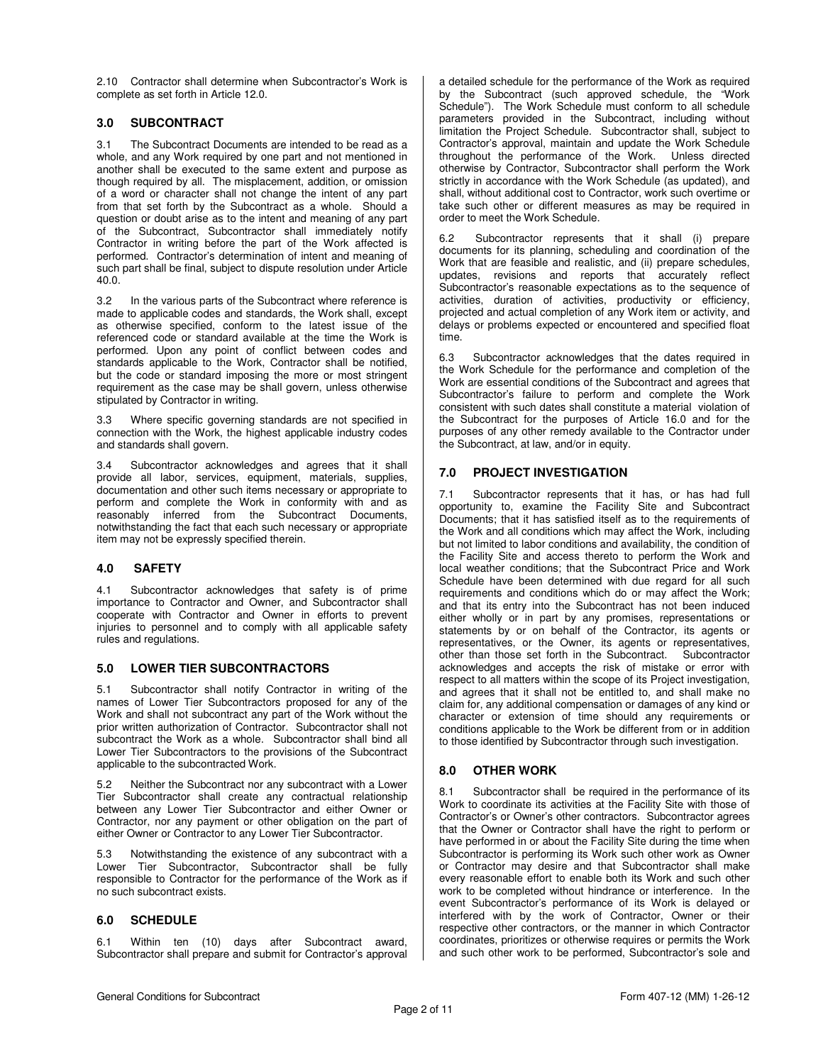2.10 Contractor shall determine when Subcontractor's Work is complete as set forth in Article 12.0.

## **3.0 SUBCONTRACT**

3.1 The Subcontract Documents are intended to be read as a whole, and any Work required by one part and not mentioned in another shall be executed to the same extent and purpose as though required by all. The misplacement, addition, or omission of a word or character shall not change the intent of any part from that set forth by the Subcontract as a whole. Should a question or doubt arise as to the intent and meaning of any part of the Subcontract, Subcontractor shall immediately notify Contractor in writing before the part of the Work affected is performed. Contractor's determination of intent and meaning of such part shall be final, subject to dispute resolution under Article 40.0.

3.2 In the various parts of the Subcontract where reference is made to applicable codes and standards, the Work shall, except as otherwise specified, conform to the latest issue of the referenced code or standard available at the time the Work is performed. Upon any point of conflict between codes and standards applicable to the Work, Contractor shall be notified, but the code or standard imposing the more or most stringent requirement as the case may be shall govern, unless otherwise stipulated by Contractor in writing.

3.3 Where specific governing standards are not specified in connection with the Work, the highest applicable industry codes and standards shall govern.

3.4 Subcontractor acknowledges and agrees that it shall provide all labor, services, equipment, materials, supplies, documentation and other such items necessary or appropriate to perform and complete the Work in conformity with and as reasonably inferred from the Subcontract Documents, notwithstanding the fact that each such necessary or appropriate item may not be expressly specified therein.

### **4.0 SAFETY**

4.1 Subcontractor acknowledges that safety is of prime importance to Contractor and Owner, and Subcontractor shall cooperate with Contractor and Owner in efforts to prevent injuries to personnel and to comply with all applicable safety rules and regulations.

### **5.0 LOWER TIER SUBCONTRACTORS**

5.1 Subcontractor shall notify Contractor in writing of the names of Lower Tier Subcontractors proposed for any of the Work and shall not subcontract any part of the Work without the prior written authorization of Contractor. Subcontractor shall not subcontract the Work as a whole. Subcontractor shall bind all Lower Tier Subcontractors to the provisions of the Subcontract applicable to the subcontracted Work.

5.2 Neither the Subcontract nor any subcontract with a Lower Tier Subcontractor shall create any contractual relationship between any Lower Tier Subcontractor and either Owner or Contractor, nor any payment or other obligation on the part of either Owner or Contractor to any Lower Tier Subcontractor.

5.3 Notwithstanding the existence of any subcontract with a Lower Tier Subcontractor, Subcontractor shall be fully responsible to Contractor for the performance of the Work as if no such subcontract exists.

## **6.0 SCHEDULE**

6.1 Within ten (10) days after Subcontract award, Subcontractor shall prepare and submit for Contractor's approval a detailed schedule for the performance of the Work as required by the Subcontract (such approved schedule, the "Work Schedule"). The Work Schedule must conform to all schedule parameters provided in the Subcontract, including without limitation the Project Schedule. Subcontractor shall, subject to Contractor's approval, maintain and update the Work Schedule throughout the performance of the Work. Unless directed otherwise by Contractor, Subcontractor shall perform the Work strictly in accordance with the Work Schedule (as updated), and shall, without additional cost to Contractor, work such overtime or take such other or different measures as may be required in order to meet the Work Schedule.

6.2 Subcontractor represents that it shall (i) prepare documents for its planning, scheduling and coordination of the Work that are feasible and realistic, and (ii) prepare schedules, updates, revisions and reports that accurately reflect Subcontractor's reasonable expectations as to the sequence of activities, duration of activities, productivity or efficiency, projected and actual completion of any Work item or activity, and delays or problems expected or encountered and specified float time.

6.3 Subcontractor acknowledges that the dates required in the Work Schedule for the performance and completion of the Work are essential conditions of the Subcontract and agrees that Subcontractor's failure to perform and complete the Work consistent with such dates shall constitute a material violation of the Subcontract for the purposes of Article 16.0 and for the purposes of any other remedy available to the Contractor under the Subcontract, at law, and/or in equity.

## **7.0 PROJECT INVESTIGATION**

7.1 Subcontractor represents that it has, or has had full opportunity to, examine the Facility Site and Subcontract Documents; that it has satisfied itself as to the requirements of the Work and all conditions which may affect the Work, including but not limited to labor conditions and availability, the condition of the Facility Site and access thereto to perform the Work and local weather conditions; that the Subcontract Price and Work Schedule have been determined with due regard for all such requirements and conditions which do or may affect the Work; and that its entry into the Subcontract has not been induced either wholly or in part by any promises, representations or statements by or on behalf of the Contractor, its agents or representatives, or the Owner, its agents or representatives, other than those set forth in the Subcontract. Subcontractor acknowledges and accepts the risk of mistake or error with respect to all matters within the scope of its Project investigation, and agrees that it shall not be entitled to, and shall make no claim for, any additional compensation or damages of any kind or character or extension of time should any requirements or conditions applicable to the Work be different from or in addition to those identified by Subcontractor through such investigation.

### **8.0 OTHER WORK**

8.1 Subcontractor shall be required in the performance of its Work to coordinate its activities at the Facility Site with those of Contractor's or Owner's other contractors. Subcontractor agrees that the Owner or Contractor shall have the right to perform or have performed in or about the Facility Site during the time when Subcontractor is performing its Work such other work as Owner or Contractor may desire and that Subcontractor shall make every reasonable effort to enable both its Work and such other work to be completed without hindrance or interference. In the event Subcontractor's performance of its Work is delayed or interfered with by the work of Contractor, Owner or their respective other contractors, or the manner in which Contractor coordinates, prioritizes or otherwise requires or permits the Work and such other work to be performed, Subcontractor's sole and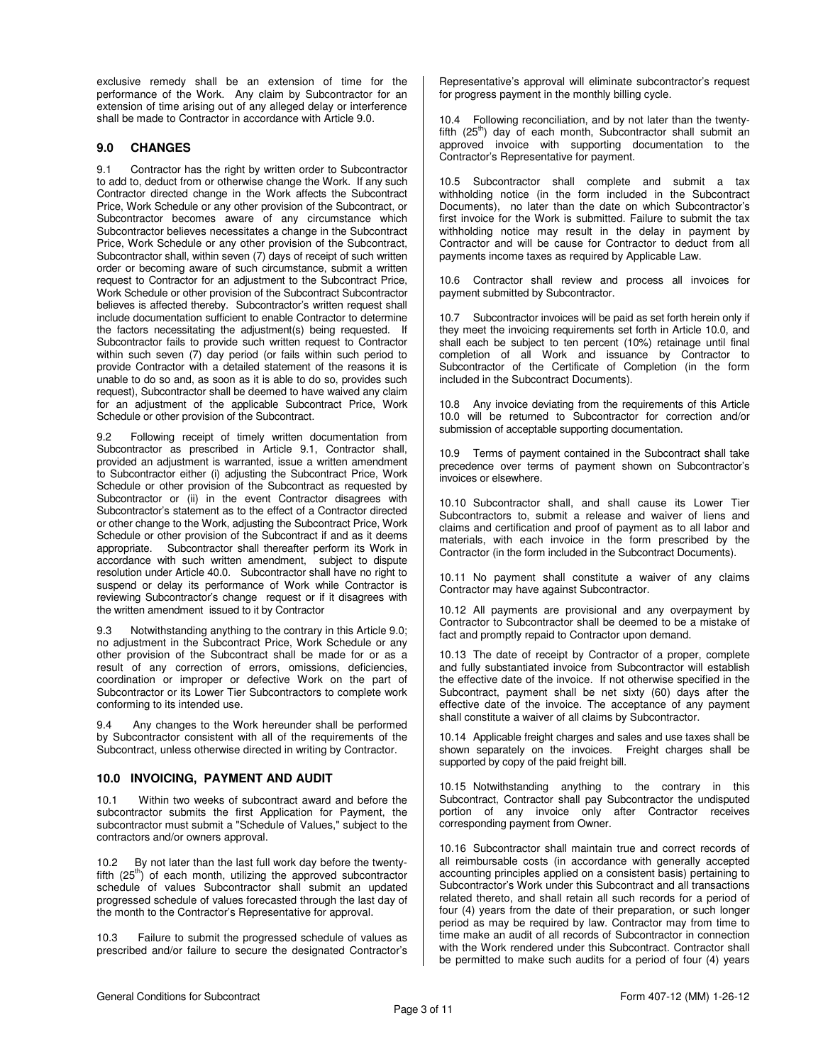exclusive remedy shall be an extension of time for the performance of the Work. Any claim by Subcontractor for an extension of time arising out of any alleged delay or interference shall be made to Contractor in accordance with Article 9.0.

### **9.0 CHANGES**

9.1 Contractor has the right by written order to Subcontractor to add to, deduct from or otherwise change the Work. If any such Contractor directed change in the Work affects the Subcontract Price, Work Schedule or any other provision of the Subcontract, or Subcontractor becomes aware of any circumstance which Subcontractor believes necessitates a change in the Subcontract Price, Work Schedule or any other provision of the Subcontract, Subcontractor shall, within seven (7) days of receipt of such written order or becoming aware of such circumstance, submit a written request to Contractor for an adjustment to the Subcontract Price, Work Schedule or other provision of the Subcontract Subcontractor believes is affected thereby. Subcontractor's written request shall include documentation sufficient to enable Contractor to determine the factors necessitating the adjustment(s) being requested. If Subcontractor fails to provide such written request to Contractor within such seven (7) day period (or fails within such period to provide Contractor with a detailed statement of the reasons it is unable to do so and, as soon as it is able to do so, provides such request), Subcontractor shall be deemed to have waived any claim for an adjustment of the applicable Subcontract Price, Work Schedule or other provision of the Subcontract.

9.2 Following receipt of timely written documentation from Subcontractor as prescribed in Article 9.1, Contractor shall, provided an adjustment is warranted, issue a written amendment to Subcontractor either (i) adjusting the Subcontract Price, Work Schedule or other provision of the Subcontract as requested by Subcontractor or (ii) in the event Contractor disagrees with Subcontractor's statement as to the effect of a Contractor directed or other change to the Work, adjusting the Subcontract Price, Work Schedule or other provision of the Subcontract if and as it deems appropriate. Subcontractor shall thereafter perform its Work in accordance with such written amendment, subject to dispute resolution under Article 40.0. Subcontractor shall have no right to suspend or delay its performance of Work while Contractor is reviewing Subcontractor's change request or if it disagrees with the written amendment issued to it by Contractor

9.3 Notwithstanding anything to the contrary in this Article 9.0; no adjustment in the Subcontract Price, Work Schedule or any other provision of the Subcontract shall be made for or as a result of any correction of errors, omissions, deficiencies, coordination or improper or defective Work on the part of Subcontractor or its Lower Tier Subcontractors to complete work conforming to its intended use.

9.4 Any changes to the Work hereunder shall be performed by Subcontractor consistent with all of the requirements of the Subcontract, unless otherwise directed in writing by Contractor.

## **10.0 INVOICING, PAYMENT AND AUDIT**

10.1 Within two weeks of subcontract award and before the subcontractor submits the first Application for Payment, the subcontractor must submit a "Schedule of Values," subject to the contractors and/or owners approval.

10.2 By not later than the last full work day before the twentyfifth  $(25<sup>th</sup>)$  of each month, utilizing the approved subcontractor schedule of values Subcontractor shall submit an updated progressed schedule of values forecasted through the last day of the month to the Contractor's Representative for approval.

10.3 Failure to submit the progressed schedule of values as prescribed and/or failure to secure the designated Contractor's

Representative's approval will eliminate subcontractor's request for progress payment in the monthly billing cycle.

10.4 Following reconciliation, and by not later than the twentyfifth  $(25<sup>th</sup>)$  day of each month, Subcontractor shall submit an approved invoice with supporting documentation to the Contractor's Representative for payment.

10.5 Subcontractor shall complete and submit a tax withholding notice (in the form included in the Subcontract Documents), no later than the date on which Subcontractor's first invoice for the Work is submitted. Failure to submit the tax withholding notice may result in the delay in payment by Contractor and will be cause for Contractor to deduct from all payments income taxes as required by Applicable Law.

10.6 Contractor shall review and process all invoices for payment submitted by Subcontractor.

10.7 Subcontractor invoices will be paid as set forth herein only if they meet the invoicing requirements set forth in Article 10.0, and shall each be subject to ten percent (10%) retainage until final completion of all Work and issuance by Contractor to Subcontractor of the Certificate of Completion (in the form included in the Subcontract Documents).

10.8 Any invoice deviating from the requirements of this Article 10.0 will be returned to Subcontractor for correction and/or submission of acceptable supporting documentation.

10.9 Terms of payment contained in the Subcontract shall take precedence over terms of payment shown on Subcontractor's invoices or elsewhere.

10.10 Subcontractor shall, and shall cause its Lower Tier Subcontractors to, submit a release and waiver of liens and claims and certification and proof of payment as to all labor and materials, with each invoice in the form prescribed by the Contractor (in the form included in the Subcontract Documents).

10.11 No payment shall constitute a waiver of any claims Contractor may have against Subcontractor.

10.12 All payments are provisional and any overpayment by Contractor to Subcontractor shall be deemed to be a mistake of fact and promptly repaid to Contractor upon demand.

10.13 The date of receipt by Contractor of a proper, complete and fully substantiated invoice from Subcontractor will establish the effective date of the invoice. If not otherwise specified in the Subcontract, payment shall be net sixty (60) days after the effective date of the invoice. The acceptance of any payment shall constitute a waiver of all claims by Subcontractor.

10.14 Applicable freight charges and sales and use taxes shall be shown separately on the invoices. Freight charges shall be supported by copy of the paid freight bill.

10.15 Notwithstanding anything to the contrary in this Subcontract, Contractor shall pay Subcontractor the undisputed portion of any invoice only after Contractor receives corresponding payment from Owner.

10.16 Subcontractor shall maintain true and correct records of all reimbursable costs (in accordance with generally accepted accounting principles applied on a consistent basis) pertaining to Subcontractor's Work under this Subcontract and all transactions related thereto, and shall retain all such records for a period of four (4) years from the date of their preparation, or such longer period as may be required by law. Contractor may from time to time make an audit of all records of Subcontractor in connection with the Work rendered under this Subcontract. Contractor shall be permitted to make such audits for a period of four (4) years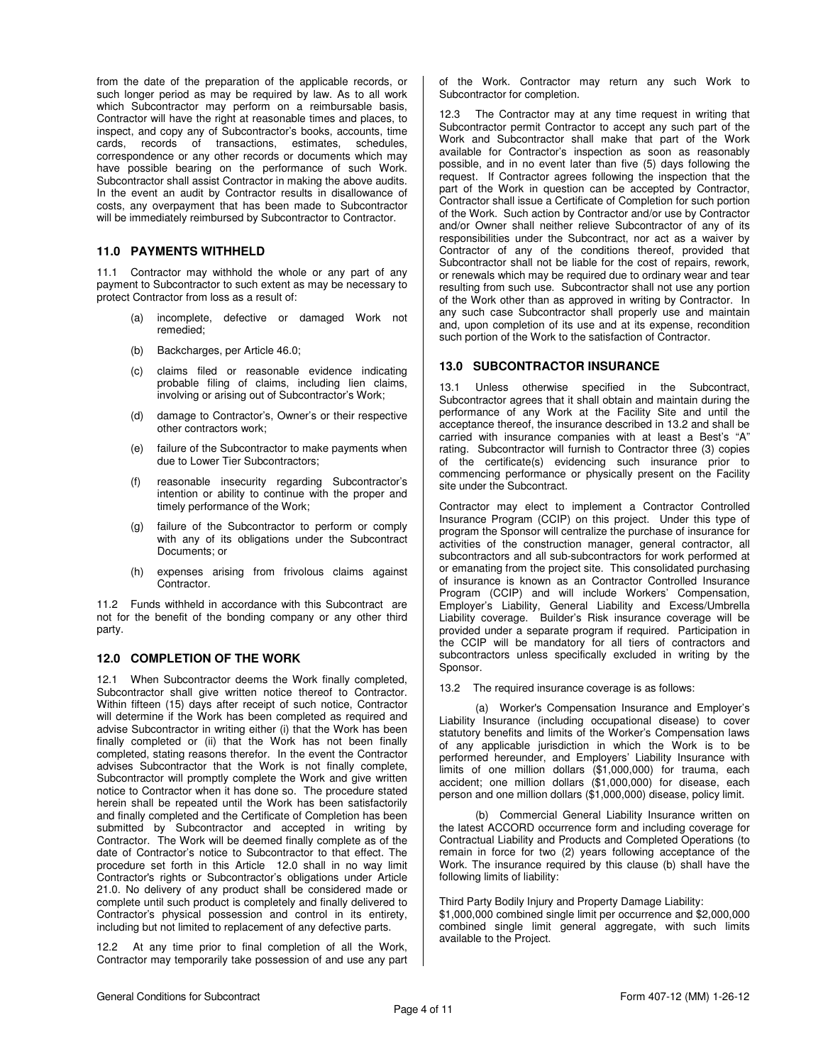from the date of the preparation of the applicable records, or such longer period as may be required by law. As to all work which Subcontractor may perform on a reimbursable basis, Contractor will have the right at reasonable times and places, to inspect, and copy any of Subcontractor's books, accounts, time cards, records of transactions, estimates, schedules, correspondence or any other records or documents which may have possible bearing on the performance of such Work. Subcontractor shall assist Contractor in making the above audits. In the event an audit by Contractor results in disallowance of costs, any overpayment that has been made to Subcontractor will be immediately reimbursed by Subcontractor to Contractor.

### **11.0 PAYMENTS WITHHELD**

11.1 Contractor may withhold the whole or any part of any payment to Subcontractor to such extent as may be necessary to protect Contractor from loss as a result of:

- (a) incomplete, defective or damaged Work not remedied;
- (b) Backcharges, per Article 46.0;
- (c) claims filed or reasonable evidence indicating probable filing of claims, including lien claims, involving or arising out of Subcontractor's Work;
- (d) damage to Contractor's, Owner's or their respective other contractors work;
- (e) failure of the Subcontractor to make payments when due to Lower Tier Subcontractors;
- (f) reasonable insecurity regarding Subcontractor's intention or ability to continue with the proper and timely performance of the Work;
- (g) failure of the Subcontractor to perform or comply with any of its obligations under the Subcontract Documents; or
- (h) expenses arising from frivolous claims against Contractor.

11.2 Funds withheld in accordance with this Subcontract are not for the benefit of the bonding company or any other third party.

### **12.0 COMPLETION OF THE WORK**

12.1 When Subcontractor deems the Work finally completed, Subcontractor shall give written notice thereof to Contractor. Within fifteen (15) days after receipt of such notice, Contractor will determine if the Work has been completed as required and advise Subcontractor in writing either (i) that the Work has been finally completed or (ii) that the Work has not been finally completed, stating reasons therefor. In the event the Contractor advises Subcontractor that the Work is not finally complete, Subcontractor will promptly complete the Work and give written notice to Contractor when it has done so. The procedure stated herein shall be repeated until the Work has been satisfactorily and finally completed and the Certificate of Completion has been submitted by Subcontractor and accepted in writing by Contractor. The Work will be deemed finally complete as of the date of Contractor's notice to Subcontractor to that effect. The procedure set forth in this Article 12.0 shall in no way limit Contractor's rights or Subcontractor's obligations under Article 21.0. No delivery of any product shall be considered made or complete until such product is completely and finally delivered to Contractor's physical possession and control in its entirety, including but not limited to replacement of any defective parts.

12.2 At any time prior to final completion of all the Work, Contractor may temporarily take possession of and use any part of the Work. Contractor may return any such Work to Subcontractor for completion.

12.3 The Contractor may at any time request in writing that Subcontractor permit Contractor to accept any such part of the Work and Subcontractor shall make that part of the Work available for Contractor's inspection as soon as reasonably possible, and in no event later than five (5) days following the request. If Contractor agrees following the inspection that the part of the Work in question can be accepted by Contractor, Contractor shall issue a Certificate of Completion for such portion of the Work. Such action by Contractor and/or use by Contractor and/or Owner shall neither relieve Subcontractor of any of its responsibilities under the Subcontract, nor act as a waiver by Contractor of any of the conditions thereof, provided that Subcontractor shall not be liable for the cost of repairs, rework, or renewals which may be required due to ordinary wear and tear resulting from such use. Subcontractor shall not use any portion of the Work other than as approved in writing by Contractor. In any such case Subcontractor shall properly use and maintain and, upon completion of its use and at its expense, recondition such portion of the Work to the satisfaction of Contractor.

### **13.0 SUBCONTRACTOR INSURANCE**

13.1 Unless otherwise specified in the Subcontract, Subcontractor agrees that it shall obtain and maintain during the performance of any Work at the Facility Site and until the acceptance thereof, the insurance described in 13.2 and shall be carried with insurance companies with at least a Best's "A" rating. Subcontractor will furnish to Contractor three (3) copies of the certificate(s) evidencing such insurance prior to commencing performance or physically present on the Facility site under the Subcontract.

Contractor may elect to implement a Contractor Controlled Insurance Program (CCIP) on this project. Under this type of program the Sponsor will centralize the purchase of insurance for activities of the construction manager, general contractor, all subcontractors and all sub-subcontractors for work performed at or emanating from the project site. This consolidated purchasing of insurance is known as an Contractor Controlled Insurance Program (CCIP) and will include Workers' Compensation, Employer's Liability, General Liability and Excess/Umbrella Liability coverage. Builder's Risk insurance coverage will be provided under a separate program if required. Participation in the CCIP will be mandatory for all tiers of contractors and subcontractors unless specifically excluded in writing by the Sponsor.

13.2 The required insurance coverage is as follows:

(a) Worker's Compensation Insurance and Employer's Liability Insurance (including occupational disease) to cover statutory benefits and limits of the Worker's Compensation laws of any applicable jurisdiction in which the Work is to be performed hereunder, and Employers' Liability Insurance with limits of one million dollars (\$1,000,000) for trauma, each accident; one million dollars (\$1,000,000) for disease, each person and one million dollars (\$1,000,000) disease, policy limit.

(b) Commercial General Liability Insurance written on the latest ACCORD occurrence form and including coverage for Contractual Liability and Products and Completed Operations (to remain in force for two (2) years following acceptance of the Work. The insurance required by this clause (b) shall have the following limits of liability:

Third Party Bodily Injury and Property Damage Liability:

\$1,000,000 combined single limit per occurrence and \$2,000,000 combined single limit general aggregate, with such limits available to the Project.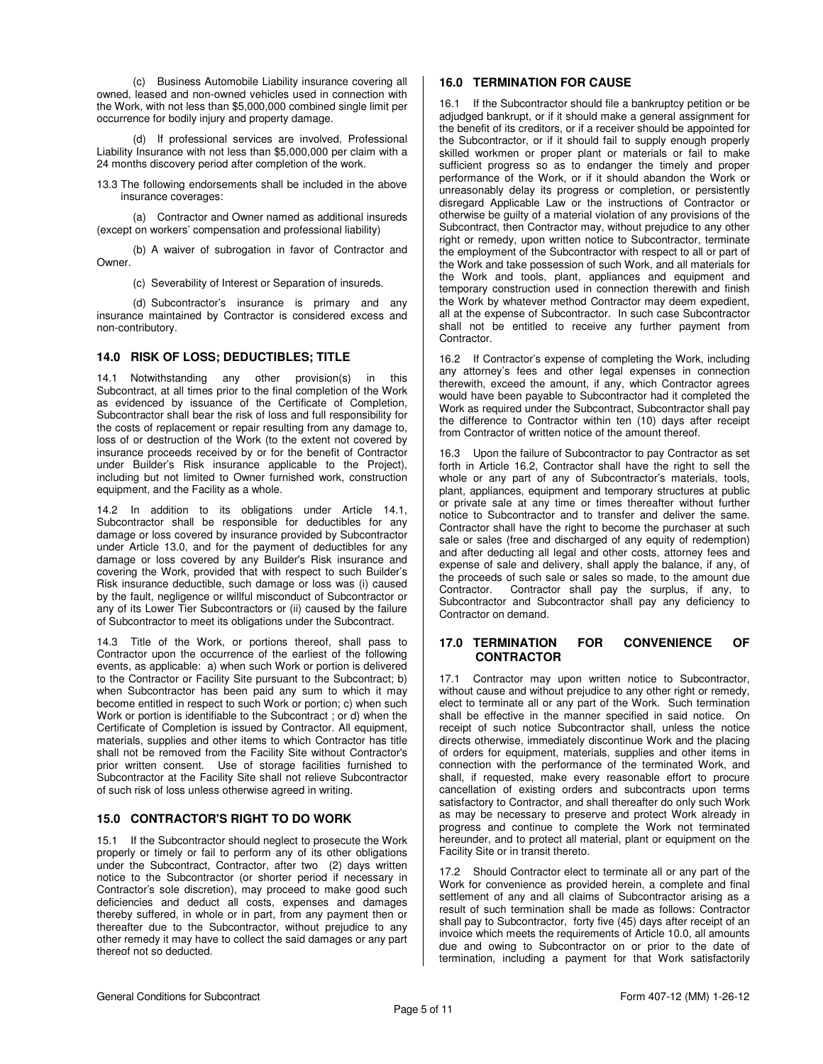(c) Business Automobile Liability insurance covering all owned, leased and non-owned vehicles used in connection with the Work, with not less than \$5,000,000 combined single limit per occurrence for bodily injury and property damage.

(d) If professional services are involved, Professional Liability Insurance with not less than \$5,000,000 per claim with a 24 months discovery period after completion of the work.

13.3 The following endorsements shall be included in the above insurance coverages:

(a) Contractor and Owner named as additional insureds (except on workers' compensation and professional liability)

(b) A waiver of subrogation in favor of Contractor and Owner.

(c) Severability of Interest or Separation of insureds.

(d) Subcontractor's insurance is primary and any insurance maintained by Contractor is considered excess and non-contributory.

## **14.0 RISK OF LOSS; DEDUCTIBLES; TITLE**

14.1 Notwithstanding any other provision(s) in this Subcontract, at all times prior to the final completion of the Work as evidenced by issuance of the Certificate of Completion, Subcontractor shall bear the risk of loss and full responsibility for the costs of replacement or repair resulting from any damage to, loss of or destruction of the Work (to the extent not covered by insurance proceeds received by or for the benefit of Contractor under Builder's Risk insurance applicable to the Project), including but not limited to Owner furnished work, construction equipment, and the Facility as a whole.

14.2 In addition to its obligations under Article 14.1, Subcontractor shall be responsible for deductibles for any damage or loss covered by insurance provided by Subcontractor under Article 13.0, and for the payment of deductibles for any damage or loss covered by any Builder's Risk insurance and covering the Work, provided that with respect to such Builder's Risk insurance deductible, such damage or loss was (i) caused by the fault, negligence or willful misconduct of Subcontractor or any of its Lower Tier Subcontractors or (ii) caused by the failure of Subcontractor to meet its obligations under the Subcontract.

14.3 Title of the Work, or portions thereof, shall pass to Contractor upon the occurrence of the earliest of the following events, as applicable: a) when such Work or portion is delivered to the Contractor or Facility Site pursuant to the Subcontract; b) when Subcontractor has been paid any sum to which it may become entitled in respect to such Work or portion; c) when such Work or portion is identifiable to the Subcontract ; or d) when the Certificate of Completion is issued by Contractor. All equipment, materials, supplies and other items to which Contractor has title shall not be removed from the Facility Site without Contractor's prior written consent. Use of storage facilities furnished to Subcontractor at the Facility Site shall not relieve Subcontractor of such risk of loss unless otherwise agreed in writing.

### **15.0 CONTRACTOR'S RIGHT TO DO WORK**

15.1 If the Subcontractor should neglect to prosecute the Work properly or timely or fail to perform any of its other obligations under the Subcontract, Contractor, after two (2) days written notice to the Subcontractor (or shorter period if necessary in Contractor's sole discretion), may proceed to make good such deficiencies and deduct all costs, expenses and damages thereby suffered, in whole or in part, from any payment then or thereafter due to the Subcontractor, without prejudice to any other remedy it may have to collect the said damages or any part thereof not so deducted.

## **16.0 TERMINATION FOR CAUSE**

16.1 If the Subcontractor should file a bankruptcy petition or be adjudged bankrupt, or if it should make a general assignment for the benefit of its creditors, or if a receiver should be appointed for the Subcontractor, or if it should fail to supply enough properly skilled workmen or proper plant or materials or fail to make sufficient progress so as to endanger the timely and proper performance of the Work, or if it should abandon the Work or unreasonably delay its progress or completion, or persistently disregard Applicable Law or the instructions of Contractor or otherwise be guilty of a material violation of any provisions of the Subcontract, then Contractor may, without prejudice to any other right or remedy, upon written notice to Subcontractor, terminate the employment of the Subcontractor with respect to all or part of the Work and take possession of such Work, and all materials for the Work and tools, plant, appliances and equipment and temporary construction used in connection therewith and finish the Work by whatever method Contractor may deem expedient, all at the expense of Subcontractor. In such case Subcontractor shall not be entitled to receive any further payment from Contractor.

16.2 If Contractor's expense of completing the Work, including any attorney's fees and other legal expenses in connection therewith, exceed the amount, if any, which Contractor agrees would have been payable to Subcontractor had it completed the Work as required under the Subcontract, Subcontractor shall pay the difference to Contractor within ten (10) days after receipt from Contractor of written notice of the amount thereof.

16.3 Upon the failure of Subcontractor to pay Contractor as set forth in Article 16.2, Contractor shall have the right to sell the whole or any part of any of Subcontractor's materials, tools, plant, appliances, equipment and temporary structures at public or private sale at any time or times thereafter without further notice to Subcontractor and to transfer and deliver the same. Contractor shall have the right to become the purchaser at such sale or sales (free and discharged of any equity of redemption) and after deducting all legal and other costs, attorney fees and expense of sale and delivery, shall apply the balance, if any, of the proceeds of such sale or sales so made, to the amount due<br>Contractor. Contractor shall pay the surplus, if any, to Contractor shall pay the surplus, if any, to Subcontractor and Subcontractor shall pay any deficiency to Contractor on demand.

#### **17.0 TERMINATION FOR CONVENIENCE OF CONTRACTOR**

17.1 Contractor may upon written notice to Subcontractor, without cause and without prejudice to any other right or remedy, elect to terminate all or any part of the Work. Such termination shall be effective in the manner specified in said notice. On receipt of such notice Subcontractor shall, unless the notice directs otherwise, immediately discontinue Work and the placing of orders for equipment, materials, supplies and other items in connection with the performance of the terminated Work, and shall, if requested, make every reasonable effort to procure cancellation of existing orders and subcontracts upon terms satisfactory to Contractor, and shall thereafter do only such Work as may be necessary to preserve and protect Work already in progress and continue to complete the Work not terminated hereunder, and to protect all material, plant or equipment on the Facility Site or in transit thereto.

17.2 Should Contractor elect to terminate all or any part of the Work for convenience as provided herein, a complete and final settlement of any and all claims of Subcontractor arising as a result of such termination shall be made as follows: Contractor shall pay to Subcontractor, forty five (45) days after receipt of an invoice which meets the requirements of Article 10.0, all amounts due and owing to Subcontractor on or prior to the date of termination, including a payment for that Work satisfactorily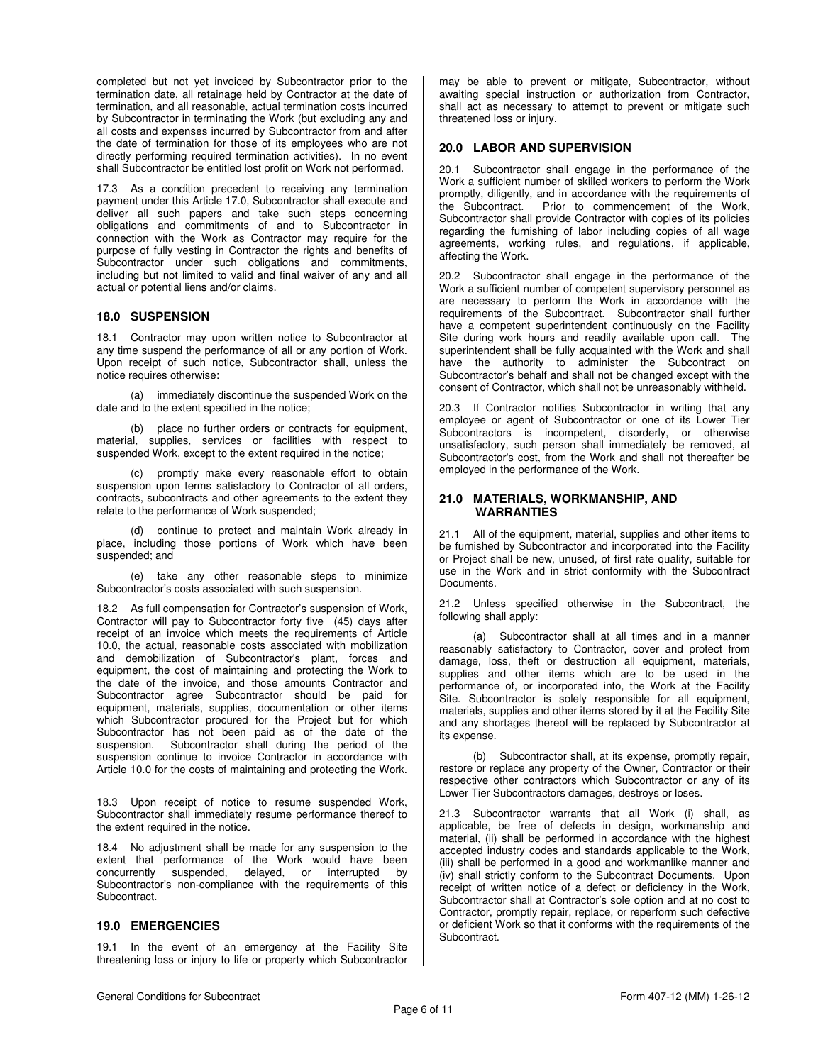completed but not yet invoiced by Subcontractor prior to the termination date, all retainage held by Contractor at the date of termination, and all reasonable, actual termination costs incurred by Subcontractor in terminating the Work (but excluding any and all costs and expenses incurred by Subcontractor from and after the date of termination for those of its employees who are not directly performing required termination activities). In no event shall Subcontractor be entitled lost profit on Work not performed.

17.3 As a condition precedent to receiving any termination payment under this Article 17.0, Subcontractor shall execute and deliver all such papers and take such steps concerning obligations and commitments of and to Subcontractor in connection with the Work as Contractor may require for the purpose of fully vesting in Contractor the rights and benefits of Subcontractor under such obligations and commitments, including but not limited to valid and final waiver of any and all actual or potential liens and/or claims.

#### **18.0 SUSPENSION**

18.1 Contractor may upon written notice to Subcontractor at any time suspend the performance of all or any portion of Work. Upon receipt of such notice, Subcontractor shall, unless the notice requires otherwise:

 (a) immediately discontinue the suspended Work on the date and to the extent specified in the notice;

 (b) place no further orders or contracts for equipment, material, supplies, services or facilities with respect to suspended Work, except to the extent required in the notice;

 (c) promptly make every reasonable effort to obtain suspension upon terms satisfactory to Contractor of all orders, contracts, subcontracts and other agreements to the extent they relate to the performance of Work suspended;

 (d) continue to protect and maintain Work already in place, including those portions of Work which have been suspended; and

 (e) take any other reasonable steps to minimize Subcontractor's costs associated with such suspension.

18.2 As full compensation for Contractor's suspension of Work, Contractor will pay to Subcontractor forty five (45) days after receipt of an invoice which meets the requirements of Article 10.0, the actual, reasonable costs associated with mobilization and demobilization of Subcontractor's plant, forces and equipment, the cost of maintaining and protecting the Work to the date of the invoice, and those amounts Contractor and Subcontractor agree Subcontractor should be paid for equipment, materials, supplies, documentation or other items which Subcontractor procured for the Project but for which Subcontractor has not been paid as of the date of the suspension. Subcontractor shall during the period of the suspension continue to invoice Contractor in accordance with Article 10.0 for the costs of maintaining and protecting the Work.

18.3 Upon receipt of notice to resume suspended Work, Subcontractor shall immediately resume performance thereof to the extent required in the notice.

18.4 No adjustment shall be made for any suspension to the extent that performance of the Work would have been concurrently suspended, delayed, or interrupted by concurrently suspended, delayed, or interrupted by Subcontractor's non-compliance with the requirements of this Subcontract.

### **19.0 EMERGENCIES**

19.1 In the event of an emergency at the Facility Site threatening loss or injury to life or property which Subcontractor may be able to prevent or mitigate, Subcontractor, without awaiting special instruction or authorization from Contractor, shall act as necessary to attempt to prevent or mitigate such threatened loss or injury.

### **20.0 LABOR AND SUPERVISION**

20.1 Subcontractor shall engage in the performance of the Work a sufficient number of skilled workers to perform the Work promptly, diligently, and in accordance with the requirements of the Subcontract. Prior to commencement of the Work, Prior to commencement of the Work, Subcontractor shall provide Contractor with copies of its policies regarding the furnishing of labor including copies of all wage agreements, working rules, and regulations, if applicable, affecting the Work.

20.2 Subcontractor shall engage in the performance of the Work a sufficient number of competent supervisory personnel as are necessary to perform the Work in accordance with the requirements of the Subcontract. Subcontractor shall further have a competent superintendent continuously on the Facility Site during work hours and readily available upon call. The superintendent shall be fully acquainted with the Work and shall have the authority to administer the Subcontract on Subcontractor's behalf and shall not be changed except with the consent of Contractor, which shall not be unreasonably withheld.

20.3 If Contractor notifies Subcontractor in writing that any employee or agent of Subcontractor or one of its Lower Tier Subcontractors is incompetent, disorderly, or otherwise unsatisfactory, such person shall immediately be removed, at Subcontractor's cost, from the Work and shall not thereafter be employed in the performance of the Work.

### **21.0 MATERIALS, WORKMANSHIP, AND WARRANTIES**

21.1 All of the equipment, material, supplies and other items to be furnished by Subcontractor and incorporated into the Facility or Project shall be new, unused, of first rate quality, suitable for use in the Work and in strict conformity with the Subcontract Documents.

21.2 Unless specified otherwise in the Subcontract, the following shall apply:

 (a) Subcontractor shall at all times and in a manner reasonably satisfactory to Contractor, cover and protect from damage, loss, theft or destruction all equipment, materials, supplies and other items which are to be used in the performance of, or incorporated into, the Work at the Facility Site. Subcontractor is solely responsible for all equipment, materials, supplies and other items stored by it at the Facility Site and any shortages thereof will be replaced by Subcontractor at its expense.

 (b) Subcontractor shall, at its expense, promptly repair, restore or replace any property of the Owner, Contractor or their respective other contractors which Subcontractor or any of its Lower Tier Subcontractors damages, destroys or loses.

21.3 Subcontractor warrants that all Work (i) shall, as applicable, be free of defects in design, workmanship and material, (ii) shall be performed in accordance with the highest accepted industry codes and standards applicable to the Work, (iii) shall be performed in a good and workmanlike manner and (iv) shall strictly conform to the Subcontract Documents. Upon receipt of written notice of a defect or deficiency in the Work, Subcontractor shall at Contractor's sole option and at no cost to Contractor, promptly repair, replace, or reperform such defective or deficient Work so that it conforms with the requirements of the Subcontract.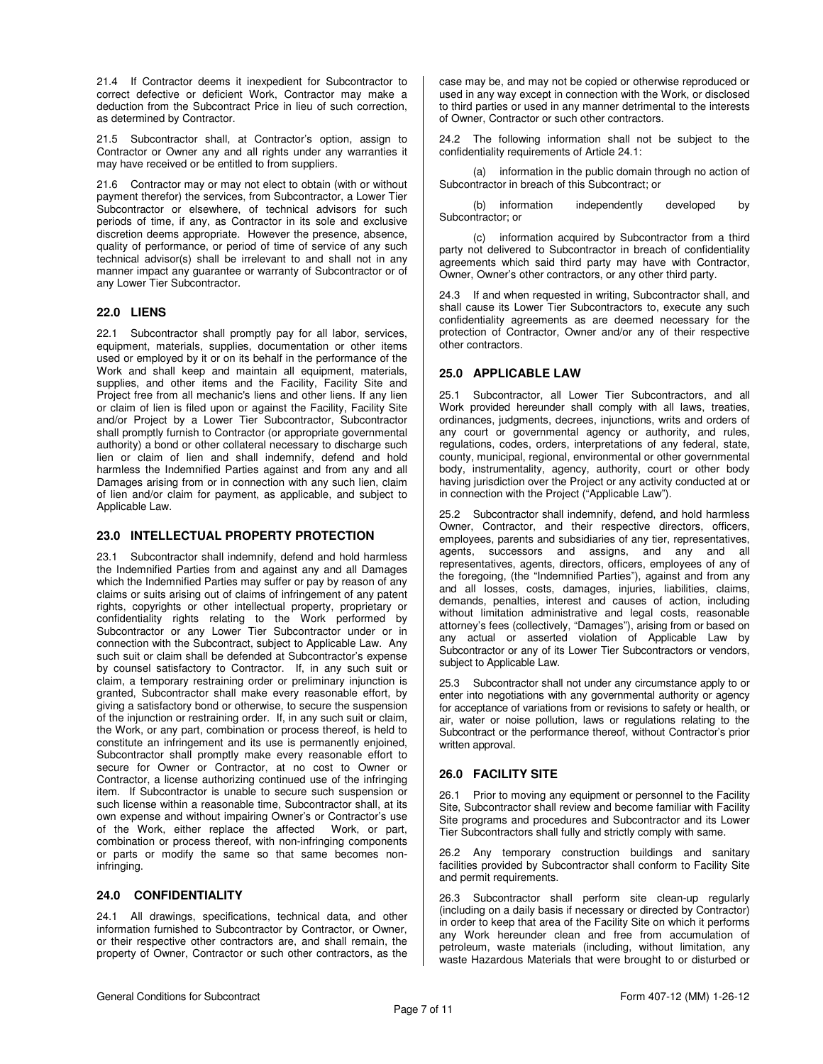21.4 If Contractor deems it inexpedient for Subcontractor to correct defective or deficient Work, Contractor may make a deduction from the Subcontract Price in lieu of such correction, as determined by Contractor.

21.5 Subcontractor shall, at Contractor's option, assign to Contractor or Owner any and all rights under any warranties it may have received or be entitled to from suppliers.

21.6 Contractor may or may not elect to obtain (with or without payment therefor) the services, from Subcontractor, a Lower Tier Subcontractor or elsewhere, of technical advisors for such periods of time, if any, as Contractor in its sole and exclusive discretion deems appropriate. However the presence, absence, quality of performance, or period of time of service of any such technical advisor(s) shall be irrelevant to and shall not in any manner impact any guarantee or warranty of Subcontractor or of any Lower Tier Subcontractor.

### **22.0 LIENS**

22.1 Subcontractor shall promptly pay for all labor, services, equipment, materials, supplies, documentation or other items used or employed by it or on its behalf in the performance of the Work and shall keep and maintain all equipment, materials, supplies, and other items and the Facility, Facility Site and Project free from all mechanic's liens and other liens. If any lien or claim of lien is filed upon or against the Facility, Facility Site and/or Project by a Lower Tier Subcontractor, Subcontractor shall promptly furnish to Contractor (or appropriate governmental authority) a bond or other collateral necessary to discharge such lien or claim of lien and shall indemnify, defend and hold harmless the Indemnified Parties against and from any and all Damages arising from or in connection with any such lien, claim of lien and/or claim for payment, as applicable, and subject to Applicable Law.

### **23.0 INTELLECTUAL PROPERTY PROTECTION**

23.1 Subcontractor shall indemnify, defend and hold harmless the Indemnified Parties from and against any and all Damages which the Indemnified Parties may suffer or pay by reason of any claims or suits arising out of claims of infringement of any patent rights, copyrights or other intellectual property, proprietary or confidentiality rights relating to the Work performed by Subcontractor or any Lower Tier Subcontractor under or in connection with the Subcontract, subject to Applicable Law. Any such suit or claim shall be defended at Subcontractor's expense by counsel satisfactory to Contractor. If, in any such suit or claim, a temporary restraining order or preliminary injunction is granted, Subcontractor shall make every reasonable effort, by giving a satisfactory bond or otherwise, to secure the suspension of the injunction or restraining order. If, in any such suit or claim, the Work, or any part, combination or process thereof, is held to constitute an infringement and its use is permanently enjoined, Subcontractor shall promptly make every reasonable effort to secure for Owner or Contractor, at no cost to Owner or Contractor, a license authorizing continued use of the infringing item. If Subcontractor is unable to secure such suspension or such license within a reasonable time, Subcontractor shall, at its own expense and without impairing Owner's or Contractor's use of the Work, either replace the affected Work, or part, combination or process thereof, with non-infringing components or parts or modify the same so that same becomes noninfringing.

## **24.0 CONFIDENTIALITY**

24.1 All drawings, specifications, technical data, and other information furnished to Subcontractor by Contractor, or Owner, or their respective other contractors are, and shall remain, the property of Owner, Contractor or such other contractors, as the

case may be, and may not be copied or otherwise reproduced or used in any way except in connection with the Work, or disclosed to third parties or used in any manner detrimental to the interests of Owner, Contractor or such other contractors.

24.2 The following information shall not be subject to the confidentiality requirements of Article 24.1:

 (a) information in the public domain through no action of Subcontractor in breach of this Subcontract; or

 (b) information independently developed by Subcontractor; or

 (c) information acquired by Subcontractor from a third party not delivered to Subcontractor in breach of confidentiality agreements which said third party may have with Contractor, Owner, Owner's other contractors, or any other third party.

24.3 If and when requested in writing, Subcontractor shall, and shall cause its Lower Tier Subcontractors to, execute any such confidentiality agreements as are deemed necessary for the protection of Contractor, Owner and/or any of their respective other contractors.

### **25.0 APPLICABLE LAW**

25.1 Subcontractor, all Lower Tier Subcontractors, and all Work provided hereunder shall comply with all laws, treaties, ordinances, judgments, decrees, injunctions, writs and orders of any court or governmental agency or authority, and rules, regulations, codes, orders, interpretations of any federal, state, county, municipal, regional, environmental or other governmental body, instrumentality, agency, authority, court or other body having jurisdiction over the Project or any activity conducted at or in connection with the Project ("Applicable Law").

25.2 Subcontractor shall indemnify, defend, and hold harmless Owner, Contractor, and their respective directors, officers, employees, parents and subsidiaries of any tier, representatives, agents, successors and assigns, and any and all representatives, agents, directors, officers, employees of any of the foregoing, (the "Indemnified Parties"), against and from any and all losses, costs, damages, injuries, liabilities, claims, demands, penalties, interest and causes of action, including without limitation administrative and legal costs, reasonable attorney's fees (collectively, "Damages"), arising from or based on any actual or asserted violation of Applicable Law by Subcontractor or any of its Lower Tier Subcontractors or vendors, subject to Applicable Law.

25.3 Subcontractor shall not under any circumstance apply to or enter into negotiations with any governmental authority or agency for acceptance of variations from or revisions to safety or health, or air, water or noise pollution, laws or regulations relating to the Subcontract or the performance thereof, without Contractor's prior written approval.

### **26.0 FACILITY SITE**

26.1 Prior to moving any equipment or personnel to the Facility Site, Subcontractor shall review and become familiar with Facility Site programs and procedures and Subcontractor and its Lower Tier Subcontractors shall fully and strictly comply with same.

26.2 Any temporary construction buildings and sanitary facilities provided by Subcontractor shall conform to Facility Site and permit requirements.

26.3 Subcontractor shall perform site clean-up regularly (including on a daily basis if necessary or directed by Contractor) in order to keep that area of the Facility Site on which it performs any Work hereunder clean and free from accumulation of petroleum, waste materials (including, without limitation, any waste Hazardous Materials that were brought to or disturbed or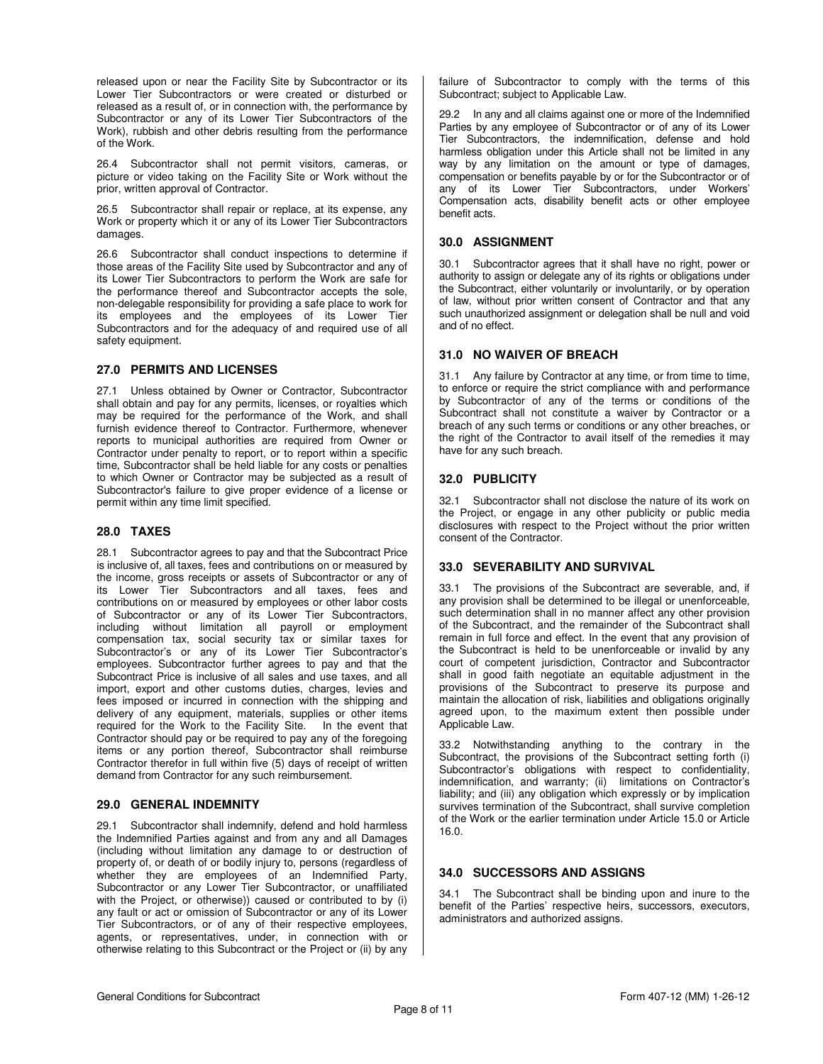released upon or near the Facility Site by Subcontractor or its Lower Tier Subcontractors or were created or disturbed or released as a result of, or in connection with, the performance by Subcontractor or any of its Lower Tier Subcontractors of the Work), rubbish and other debris resulting from the performance of the Work.

26.4 Subcontractor shall not permit visitors, cameras, or picture or video taking on the Facility Site or Work without the prior, written approval of Contractor.

26.5 Subcontractor shall repair or replace, at its expense, any Work or property which it or any of its Lower Tier Subcontractors damages.

26.6 Subcontractor shall conduct inspections to determine if those areas of the Facility Site used by Subcontractor and any of its Lower Tier Subcontractors to perform the Work are safe for the performance thereof and Subcontractor accepts the sole, non-delegable responsibility for providing a safe place to work for its employees and the employees of its Lower Tier Subcontractors and for the adequacy of and required use of all safety equipment.

### **27.0 PERMITS AND LICENSES**

27.1 Unless obtained by Owner or Contractor, Subcontractor shall obtain and pay for any permits, licenses, or royalties which may be required for the performance of the Work, and shall furnish evidence thereof to Contractor. Furthermore, whenever reports to municipal authorities are required from Owner or Contractor under penalty to report, or to report within a specific time, Subcontractor shall be held liable for any costs or penalties to which Owner or Contractor may be subjected as a result of Subcontractor's failure to give proper evidence of a license or permit within any time limit specified.

#### **28.0 TAXES**

28.1 Subcontractor agrees to pay and that the Subcontract Price is inclusive of, all taxes, fees and contributions on or measured by the income, gross receipts or assets of Subcontractor or any of its Lower Tier Subcontractors and all taxes, fees and contributions on or measured by employees or other labor costs of Subcontractor or any of its Lower Tier Subcontractors, including without limitation all payroll or employment compensation tax, social security tax or similar taxes for Subcontractor's or any of its Lower Tier Subcontractor's employees. Subcontractor further agrees to pay and that the Subcontract Price is inclusive of all sales and use taxes, and all import, export and other customs duties, charges, levies and fees imposed or incurred in connection with the shipping and delivery of any equipment, materials, supplies or other items required for the Work to the Facility Site. In the event that Contractor should pay or be required to pay any of the foregoing items or any portion thereof, Subcontractor shall reimburse Contractor therefor in full within five (5) days of receipt of written demand from Contractor for any such reimbursement.

#### **29.0 GENERAL INDEMNITY**

29.1 Subcontractor shall indemnify, defend and hold harmless the Indemnified Parties against and from any and all Damages (including without limitation any damage to or destruction of property of, or death of or bodily injury to, persons (regardless of whether they are employees of an Indemnified Party, Subcontractor or any Lower Tier Subcontractor, or unaffiliated with the Project, or otherwise)) caused or contributed to by (i) any fault or act or omission of Subcontractor or any of its Lower Tier Subcontractors, or of any of their respective employees, agents, or representatives, under, in connection with or otherwise relating to this Subcontract or the Project or (ii) by any failure of Subcontractor to comply with the terms of this Subcontract; subject to Applicable Law.

29.2 In any and all claims against one or more of the Indemnified Parties by any employee of Subcontractor or of any of its Lower Tier Subcontractors, the indemnification, defense and hold harmless obligation under this Article shall not be limited in any way by any limitation on the amount or type of damages, compensation or benefits payable by or for the Subcontractor or of any of its Lower Tier Subcontractors, under Workers' Compensation acts, disability benefit acts or other employee benefit acts.

### **30.0 ASSIGNMENT**

30.1 Subcontractor agrees that it shall have no right, power or authority to assign or delegate any of its rights or obligations under the Subcontract, either voluntarily or involuntarily, or by operation of law, without prior written consent of Contractor and that any such unauthorized assignment or delegation shall be null and void and of no effect.

### **31.0 NO WAIVER OF BREACH**

31.1 Any failure by Contractor at any time, or from time to time, to enforce or require the strict compliance with and performance by Subcontractor of any of the terms or conditions of the Subcontract shall not constitute a waiver by Contractor or a breach of any such terms or conditions or any other breaches, or the right of the Contractor to avail itself of the remedies it may have for any such breach.

### **32.0 PUBLICITY**

32.1 Subcontractor shall not disclose the nature of its work on the Project, or engage in any other publicity or public media disclosures with respect to the Project without the prior written consent of the Contractor.

#### **33.0 SEVERABILITY AND SURVIVAL**

33.1 The provisions of the Subcontract are severable, and, if any provision shall be determined to be illegal or unenforceable, such determination shall in no manner affect any other provision of the Subcontract, and the remainder of the Subcontract shall remain in full force and effect. In the event that any provision of the Subcontract is held to be unenforceable or invalid by any court of competent jurisdiction, Contractor and Subcontractor shall in good faith negotiate an equitable adjustment in the provisions of the Subcontract to preserve its purpose and maintain the allocation of risk, liabilities and obligations originally agreed upon, to the maximum extent then possible under Applicable Law.

33.2 Notwithstanding anything to the contrary in the Subcontract, the provisions of the Subcontract setting forth (i) Subcontractor's obligations with respect to confidentiality, indemnification, and warranty; (ii) limitations on Contractor's liability; and (iii) any obligation which expressly or by implication survives termination of the Subcontract, shall survive completion of the Work or the earlier termination under Article 15.0 or Article 16.0.

#### **34.0 SUCCESSORS AND ASSIGNS**

34.1 The Subcontract shall be binding upon and inure to the benefit of the Parties' respective heirs, successors, executors, administrators and authorized assigns.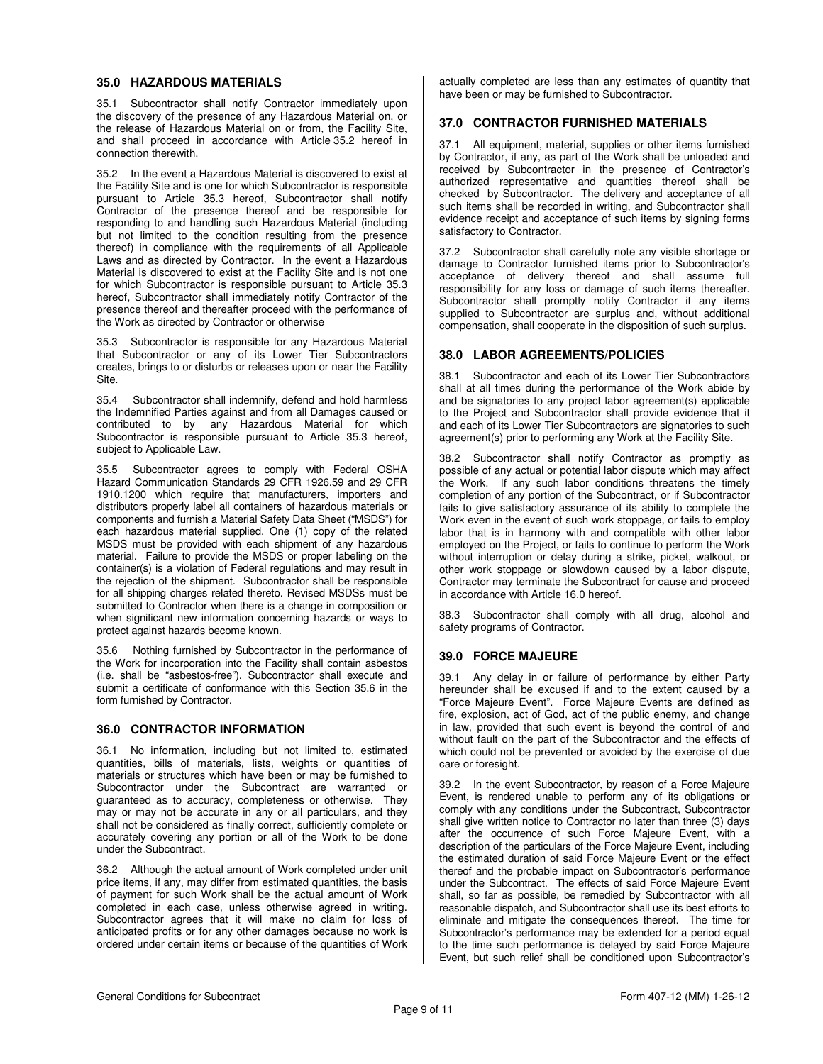#### **35.0 HAZARDOUS MATERIALS**

35.1 Subcontractor shall notify Contractor immediately upon the discovery of the presence of any Hazardous Material on, or the release of Hazardous Material on or from, the Facility Site, and shall proceed in accordance with Article 35.2 hereof in connection therewith.

35.2 In the event a Hazardous Material is discovered to exist at the Facility Site and is one for which Subcontractor is responsible pursuant to Article 35.3 hereof, Subcontractor shall notify Contractor of the presence thereof and be responsible for responding to and handling such Hazardous Material (including but not limited to the condition resulting from the presence thereof) in compliance with the requirements of all Applicable Laws and as directed by Contractor. In the event a Hazardous Material is discovered to exist at the Facility Site and is not one for which Subcontractor is responsible pursuant to Article 35.3 hereof, Subcontractor shall immediately notify Contractor of the presence thereof and thereafter proceed with the performance of the Work as directed by Contractor or otherwise

35.3 Subcontractor is responsible for any Hazardous Material that Subcontractor or any of its Lower Tier Subcontractors creates, brings to or disturbs or releases upon or near the Facility Site.

35.4 Subcontractor shall indemnify, defend and hold harmless the Indemnified Parties against and from all Damages caused or contributed to by any Hazardous Material for which Subcontractor is responsible pursuant to Article 35.3 hereof, subject to Applicable Law.

35.5 Subcontractor agrees to comply with Federal OSHA Hazard Communication Standards 29 CFR 1926.59 and 29 CFR 1910.1200 which require that manufacturers, importers and distributors properly label all containers of hazardous materials or components and furnish a Material Safety Data Sheet ("MSDS") for each hazardous material supplied. One (1) copy of the related MSDS must be provided with each shipment of any hazardous material. Failure to provide the MSDS or proper labeling on the container(s) is a violation of Federal regulations and may result in the rejection of the shipment. Subcontractor shall be responsible for all shipping charges related thereto. Revised MSDSs must be submitted to Contractor when there is a change in composition or when significant new information concerning hazards or ways to protect against hazards become known.

35.6 Nothing furnished by Subcontractor in the performance of the Work for incorporation into the Facility shall contain asbestos (i.e. shall be "asbestos-free"). Subcontractor shall execute and submit a certificate of conformance with this Section 35.6 in the form furnished by Contractor.

### **36.0 CONTRACTOR INFORMATION**

36.1 No information, including but not limited to, estimated quantities, bills of materials, lists, weights or quantities of materials or structures which have been or may be furnished to Subcontractor under the Subcontract are warranted or guaranteed as to accuracy, completeness or otherwise. They may or may not be accurate in any or all particulars, and they shall not be considered as finally correct, sufficiently complete or accurately covering any portion or all of the Work to be done under the Subcontract.

36.2 Although the actual amount of Work completed under unit price items, if any, may differ from estimated quantities, the basis of payment for such Work shall be the actual amount of Work completed in each case, unless otherwise agreed in writing. Subcontractor agrees that it will make no claim for loss of anticipated profits or for any other damages because no work is ordered under certain items or because of the quantities of Work

actually completed are less than any estimates of quantity that have been or may be furnished to Subcontractor.

### **37.0 CONTRACTOR FURNISHED MATERIALS**

37.1 All equipment, material, supplies or other items furnished by Contractor, if any, as part of the Work shall be unloaded and received by Subcontractor in the presence of Contractor's authorized representative and quantities thereof shall be checked by Subcontractor. The delivery and acceptance of all such items shall be recorded in writing, and Subcontractor shall evidence receipt and acceptance of such items by signing forms satisfactory to Contractor.

37.2 Subcontractor shall carefully note any visible shortage or damage to Contractor furnished items prior to Subcontractor's acceptance of delivery thereof and shall assume full responsibility for any loss or damage of such items thereafter. Subcontractor shall promptly notify Contractor if any items supplied to Subcontractor are surplus and, without additional compensation, shall cooperate in the disposition of such surplus.

### **38.0 LABOR AGREEMENTS/POLICIES**

38.1 Subcontractor and each of its Lower Tier Subcontractors shall at all times during the performance of the Work abide by and be signatories to any project labor agreement(s) applicable to the Project and Subcontractor shall provide evidence that it and each of its Lower Tier Subcontractors are signatories to such agreement(s) prior to performing any Work at the Facility Site.

38.2 Subcontractor shall notify Contractor as promptly as possible of any actual or potential labor dispute which may affect the Work. If any such labor conditions threatens the timely completion of any portion of the Subcontract, or if Subcontractor fails to give satisfactory assurance of its ability to complete the Work even in the event of such work stoppage, or fails to employ labor that is in harmony with and compatible with other labor employed on the Project, or fails to continue to perform the Work without interruption or delay during a strike, picket, walkout, or other work stoppage or slowdown caused by a labor dispute, Contractor may terminate the Subcontract for cause and proceed in accordance with Article 16.0 hereof.

38.3 Subcontractor shall comply with all drug, alcohol and safety programs of Contractor.

### **39.0 FORCE MAJEURE**

39.1 Any delay in or failure of performance by either Party hereunder shall be excused if and to the extent caused by a "Force Majeure Event". Force Majeure Events are defined as fire, explosion, act of God, act of the public enemy, and change in law, provided that such event is beyond the control of and without fault on the part of the Subcontractor and the effects of which could not be prevented or avoided by the exercise of due care or foresight.

39.2 In the event Subcontractor, by reason of a Force Majeure Event, is rendered unable to perform any of its obligations or comply with any conditions under the Subcontract, Subcontractor shall give written notice to Contractor no later than three (3) days after the occurrence of such Force Majeure Event, with a description of the particulars of the Force Majeure Event, including the estimated duration of said Force Majeure Event or the effect thereof and the probable impact on Subcontractor's performance under the Subcontract. The effects of said Force Majeure Event shall, so far as possible, be remedied by Subcontractor with all reasonable dispatch, and Subcontractor shall use its best efforts to eliminate and mitigate the consequences thereof. The time for Subcontractor's performance may be extended for a period equal to the time such performance is delayed by said Force Majeure Event, but such relief shall be conditioned upon Subcontractor's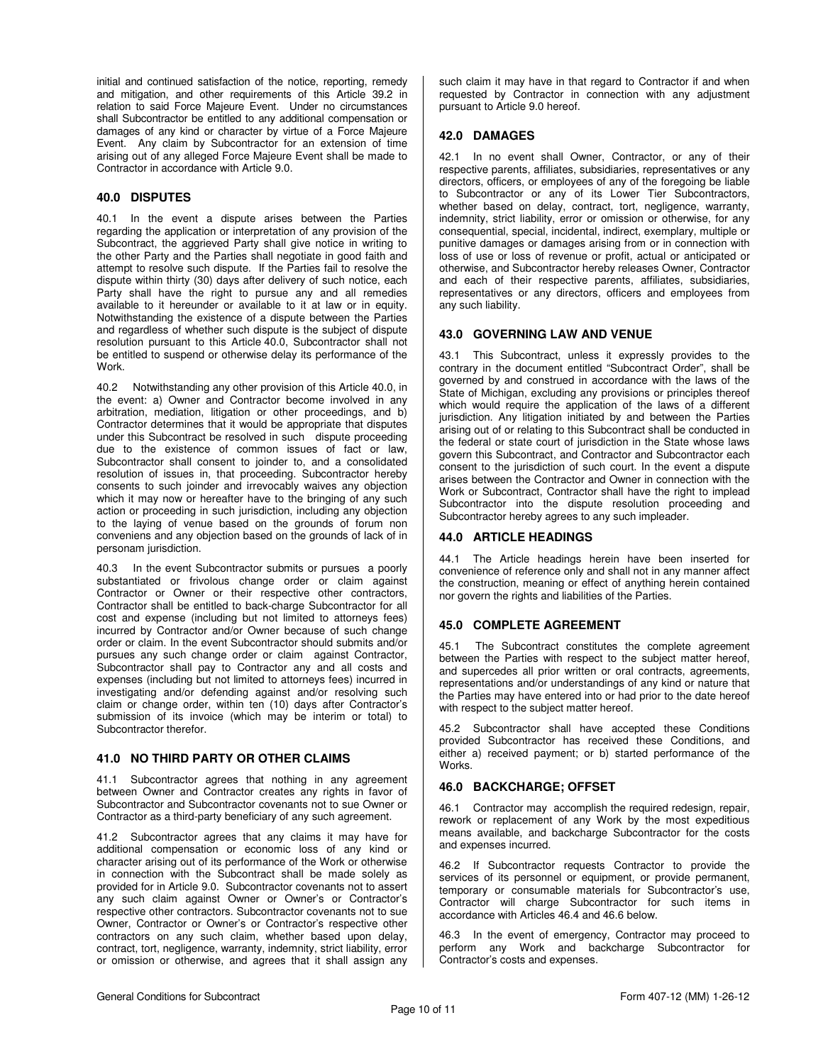initial and continued satisfaction of the notice, reporting, remedy and mitigation, and other requirements of this Article 39.2 in relation to said Force Majeure Event. Under no circumstances shall Subcontractor be entitled to any additional compensation or damages of any kind or character by virtue of a Force Majeure Event. Any claim by Subcontractor for an extension of time arising out of any alleged Force Majeure Event shall be made to Contractor in accordance with Article 9.0.

## **40.0 DISPUTES**

40.1 In the event a dispute arises between the Parties regarding the application or interpretation of any provision of the Subcontract, the aggrieved Party shall give notice in writing to the other Party and the Parties shall negotiate in good faith and attempt to resolve such dispute. If the Parties fail to resolve the dispute within thirty (30) days after delivery of such notice, each Party shall have the right to pursue any and all remedies available to it hereunder or available to it at law or in equity. Notwithstanding the existence of a dispute between the Parties and regardless of whether such dispute is the subject of dispute resolution pursuant to this Article 40.0, Subcontractor shall not be entitled to suspend or otherwise delay its performance of the **Work** 

40.2 Notwithstanding any other provision of this Article 40.0, in the event: a) Owner and Contractor become involved in any arbitration, mediation, litigation or other proceedings, and b) Contractor determines that it would be appropriate that disputes under this Subcontract be resolved in such dispute proceeding due to the existence of common issues of fact or law, Subcontractor shall consent to joinder to, and a consolidated resolution of issues in, that proceeding. Subcontractor hereby consents to such joinder and irrevocably waives any objection which it may now or hereafter have to the bringing of any such action or proceeding in such jurisdiction, including any objection to the laying of venue based on the grounds of forum non conveniens and any objection based on the grounds of lack of in personam jurisdiction.

40.3 In the event Subcontractor submits or pursues a poorly substantiated or frivolous change order or claim against Contractor or Owner or their respective other contractors, Contractor shall be entitled to back-charge Subcontractor for all cost and expense (including but not limited to attorneys fees) incurred by Contractor and/or Owner because of such change order or claim. In the event Subcontractor should submits and/or pursues any such change order or claim against Contractor, Subcontractor shall pay to Contractor any and all costs and expenses (including but not limited to attorneys fees) incurred in investigating and/or defending against and/or resolving such claim or change order, within ten (10) days after Contractor's submission of its invoice (which may be interim or total) to Subcontractor therefor.

### **41.0 NO THIRD PARTY OR OTHER CLAIMS**

41.1 Subcontractor agrees that nothing in any agreement between Owner and Contractor creates any rights in favor of Subcontractor and Subcontractor covenants not to sue Owner or Contractor as a third-party beneficiary of any such agreement.

41.2 Subcontractor agrees that any claims it may have for additional compensation or economic loss of any kind or character arising out of its performance of the Work or otherwise in connection with the Subcontract shall be made solely as provided for in Article 9.0. Subcontractor covenants not to assert any such claim against Owner or Owner's or Contractor's respective other contractors. Subcontractor covenants not to sue Owner, Contractor or Owner's or Contractor's respective other contractors on any such claim, whether based upon delay, contract, tort, negligence, warranty, indemnity, strict liability, error or omission or otherwise, and agrees that it shall assign any

such claim it may have in that regard to Contractor if and when requested by Contractor in connection with any adjustment pursuant to Article 9.0 hereof.

#### **42.0 DAMAGES**

42.1 In no event shall Owner, Contractor, or any of their respective parents, affiliates, subsidiaries, representatives or any directors, officers, or employees of any of the foregoing be liable to Subcontractor or any of its Lower Tier Subcontractors, whether based on delay, contract, tort, negligence, warranty, indemnity, strict liability, error or omission or otherwise, for any consequential, special, incidental, indirect, exemplary, multiple or punitive damages or damages arising from or in connection with loss of use or loss of revenue or profit, actual or anticipated or otherwise, and Subcontractor hereby releases Owner, Contractor and each of their respective parents, affiliates, subsidiaries, representatives or any directors, officers and employees from any such liability.

### **43.0 GOVERNING LAW AND VENUE**

43.1 This Subcontract, unless it expressly provides to the contrary in the document entitled "Subcontract Order", shall be governed by and construed in accordance with the laws of the State of Michigan, excluding any provisions or principles thereof which would require the application of the laws of a different jurisdiction. Any litigation initiated by and between the Parties arising out of or relating to this Subcontract shall be conducted in the federal or state court of jurisdiction in the State whose laws govern this Subcontract, and Contractor and Subcontractor each consent to the jurisdiction of such court. In the event a dispute arises between the Contractor and Owner in connection with the Work or Subcontract, Contractor shall have the right to implead Subcontractor into the dispute resolution proceeding and Subcontractor hereby agrees to any such impleader.

#### **44.0 ARTICLE HEADINGS**

44.1 The Article headings herein have been inserted for convenience of reference only and shall not in any manner affect the construction, meaning or effect of anything herein contained nor govern the rights and liabilities of the Parties.

### **45.0 COMPLETE AGREEMENT**

45.1 The Subcontract constitutes the complete agreement between the Parties with respect to the subject matter hereof, and supercedes all prior written or oral contracts, agreements, representations and/or understandings of any kind or nature that the Parties may have entered into or had prior to the date hereof with respect to the subject matter hereof.

45.2 Subcontractor shall have accepted these Conditions provided Subcontractor has received these Conditions, and either a) received payment; or b) started performance of the Works.

#### **46.0 BACKCHARGE; OFFSET**

46.1 Contractor may accomplish the required redesign, repair, rework or replacement of any Work by the most expeditious means available, and backcharge Subcontractor for the costs and expenses incurred.

46.2 If Subcontractor requests Contractor to provide the services of its personnel or equipment, or provide permanent, temporary or consumable materials for Subcontractor's use, Contractor will charge Subcontractor for such items in accordance with Articles 46.4 and 46.6 below.

46.3 In the event of emergency, Contractor may proceed to perform any Work and backcharge Subcontractor for Contractor's costs and expenses.